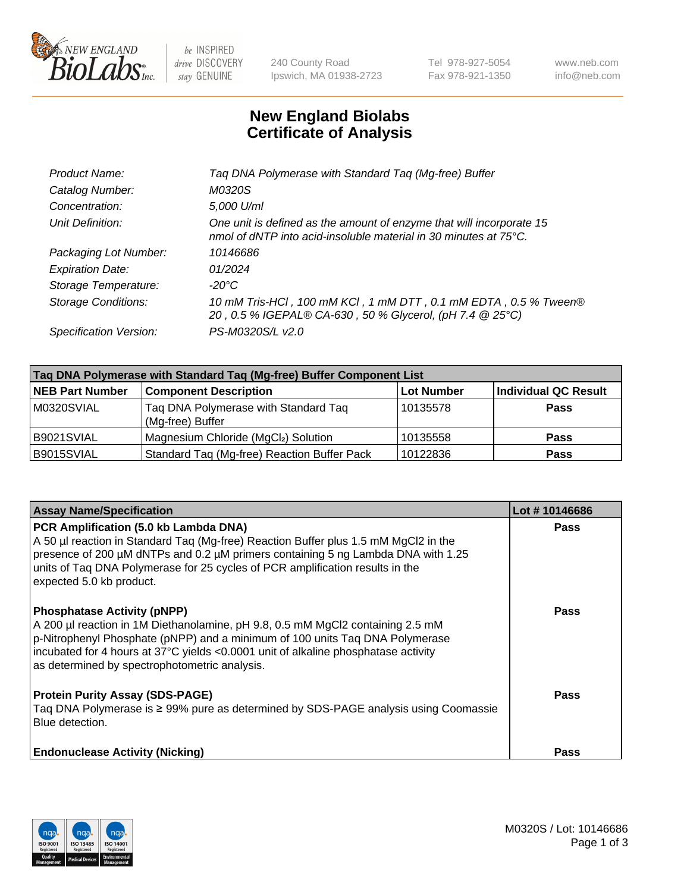

 $be$  INSPIRED drive DISCOVERY stay GENUINE

240 County Road Ipswich, MA 01938-2723 Tel 978-927-5054 Fax 978-921-1350 www.neb.com info@neb.com

## **New England Biolabs Certificate of Analysis**

| Taq DNA Polymerase with Standard Taq (Mg-free) Buffer                                                                                    |
|------------------------------------------------------------------------------------------------------------------------------------------|
| M0320S                                                                                                                                   |
| 5,000 U/ml                                                                                                                               |
| One unit is defined as the amount of enzyme that will incorporate 15<br>nmol of dNTP into acid-insoluble material in 30 minutes at 75°C. |
| 10146686                                                                                                                                 |
| 01/2024                                                                                                                                  |
| $-20^{\circ}$ C                                                                                                                          |
| 10 mM Tris-HCl, 100 mM KCl, 1 mM DTT, 0.1 mM EDTA, 0.5 % Tween®<br>20, 0.5 % IGEPAL® CA-630, 50 % Glycerol, (pH 7.4 @ 25°C)              |
| PS-M0320S/L v2.0                                                                                                                         |
|                                                                                                                                          |

| Taq DNA Polymerase with Standard Taq (Mg-free) Buffer Component List |                                                          |                   |                             |  |  |
|----------------------------------------------------------------------|----------------------------------------------------------|-------------------|-----------------------------|--|--|
| <b>NEB Part Number</b>                                               | <b>Component Description</b>                             | <b>Lot Number</b> | <b>Individual QC Result</b> |  |  |
| M0320SVIAL                                                           | Tag DNA Polymerase with Standard Tag<br>(Mg-free) Buffer | 10135578          | <b>Pass</b>                 |  |  |
| B9021SVIAL                                                           | Magnesium Chloride (MgCl2) Solution                      | 10135558          | <b>Pass</b>                 |  |  |
| B9015SVIAL                                                           | Standard Taq (Mg-free) Reaction Buffer Pack              | 10122836          | <b>Pass</b>                 |  |  |

| <b>Assay Name/Specification</b>                                                                                                                                                                                                                                                                                                             | Lot #10146686 |
|---------------------------------------------------------------------------------------------------------------------------------------------------------------------------------------------------------------------------------------------------------------------------------------------------------------------------------------------|---------------|
| PCR Amplification (5.0 kb Lambda DNA)<br>A 50 µl reaction in Standard Taq (Mg-free) Reaction Buffer plus 1.5 mM MgCl2 in the<br>presence of 200 μM dNTPs and 0.2 μM primers containing 5 ng Lambda DNA with 1.25<br>units of Tag DNA Polymerase for 25 cycles of PCR amplification results in the<br>expected 5.0 kb product.               | <b>Pass</b>   |
| <b>Phosphatase Activity (pNPP)</b><br>A 200 µl reaction in 1M Diethanolamine, pH 9.8, 0.5 mM MgCl2 containing 2.5 mM<br>p-Nitrophenyl Phosphate (pNPP) and a minimum of 100 units Taq DNA Polymerase<br>incubated for 4 hours at 37°C yields <0.0001 unit of alkaline phosphatase activity<br>as determined by spectrophotometric analysis. | <b>Pass</b>   |
| <b>Protein Purity Assay (SDS-PAGE)</b><br>Taq DNA Polymerase is ≥ 99% pure as determined by SDS-PAGE analysis using Coomassie<br>Blue detection.                                                                                                                                                                                            | Pass          |
| <b>Endonuclease Activity (Nicking)</b>                                                                                                                                                                                                                                                                                                      | Pass          |

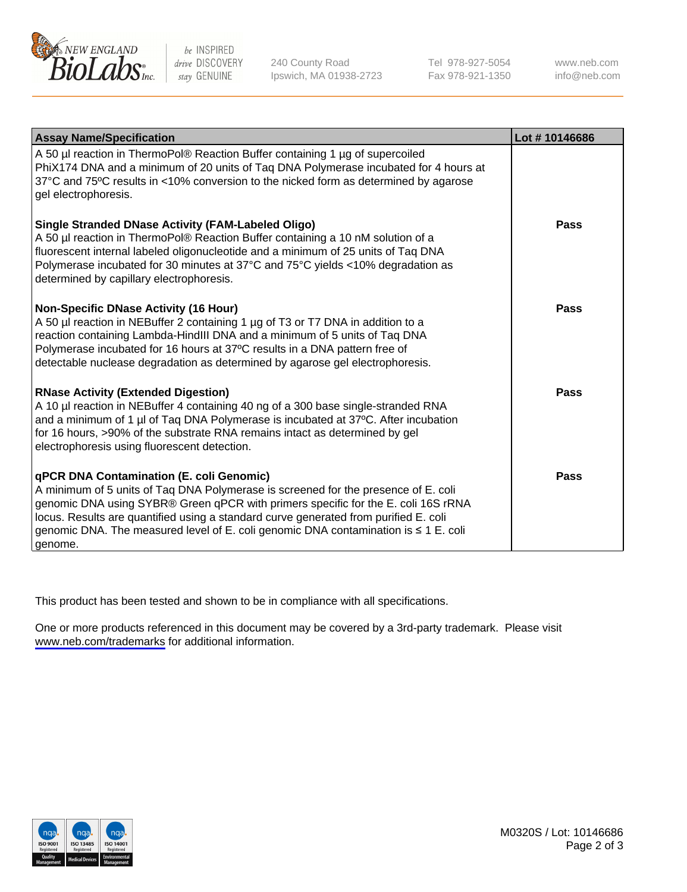

be INSPIRED drive DISCOVERY stay GENUINE

240 County Road Ipswich, MA 01938-2723 Tel 978-927-5054 Fax 978-921-1350

www.neb.com info@neb.com

| <b>Assay Name/Specification</b>                                                                                                                                                                                                                                                                                                                                                                                      | Lot #10146686 |
|----------------------------------------------------------------------------------------------------------------------------------------------------------------------------------------------------------------------------------------------------------------------------------------------------------------------------------------------------------------------------------------------------------------------|---------------|
| A 50 µl reaction in ThermoPol® Reaction Buffer containing 1 µg of supercoiled<br>PhiX174 DNA and a minimum of 20 units of Taq DNA Polymerase incubated for 4 hours at<br>37°C and 75°C results in <10% conversion to the nicked form as determined by agarose<br>gel electrophoresis.                                                                                                                                |               |
| Single Stranded DNase Activity (FAM-Labeled Oligo)<br>A 50 µl reaction in ThermoPol® Reaction Buffer containing a 10 nM solution of a<br>fluorescent internal labeled oligonucleotide and a minimum of 25 units of Taq DNA<br>Polymerase incubated for 30 minutes at 37°C and 75°C yields <10% degradation as<br>determined by capillary electrophoresis.                                                            | Pass          |
| Non-Specific DNase Activity (16 Hour)<br>A 50 µl reaction in NEBuffer 2 containing 1 µg of T3 or T7 DNA in addition to a<br>reaction containing Lambda-HindIII DNA and a minimum of 5 units of Taq DNA<br>Polymerase incubated for 16 hours at 37°C results in a DNA pattern free of<br>detectable nuclease degradation as determined by agarose gel electrophoresis.                                                | Pass          |
| <b>RNase Activity (Extended Digestion)</b><br>A 10 µl reaction in NEBuffer 4 containing 40 ng of a 300 base single-stranded RNA<br>and a minimum of 1 µl of Taq DNA Polymerase is incubated at 37°C. After incubation<br>for 16 hours, >90% of the substrate RNA remains intact as determined by gel<br>electrophoresis using fluorescent detection.                                                                 | Pass          |
| <b>qPCR DNA Contamination (E. coli Genomic)</b><br>A minimum of 5 units of Taq DNA Polymerase is screened for the presence of E. coli<br>genomic DNA using SYBR® Green qPCR with primers specific for the E. coli 16S rRNA<br>locus. Results are quantified using a standard curve generated from purified E. coli<br>genomic DNA. The measured level of E. coli genomic DNA contamination is ≤ 1 E. coli<br>genome. | Pass          |

This product has been tested and shown to be in compliance with all specifications.

One or more products referenced in this document may be covered by a 3rd-party trademark. Please visit <www.neb.com/trademarks>for additional information.